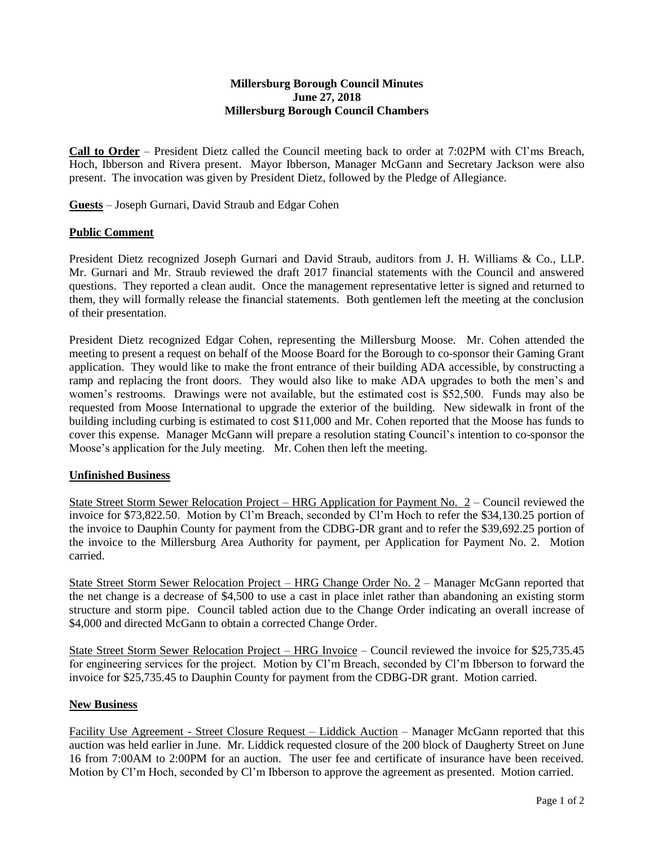## **Millersburg Borough Council Minutes June 27, 2018 Millersburg Borough Council Chambers**

**Call to Order** – President Dietz called the Council meeting back to order at 7:02PM with Cl'ms Breach, Hoch, Ibberson and Rivera present. Mayor Ibberson, Manager McGann and Secretary Jackson were also present. The invocation was given by President Dietz, followed by the Pledge of Allegiance.

**Guests** – Joseph Gurnari, David Straub and Edgar Cohen

## **Public Comment**

President Dietz recognized Joseph Gurnari and David Straub, auditors from J. H. Williams & Co., LLP. Mr. Gurnari and Mr. Straub reviewed the draft 2017 financial statements with the Council and answered questions. They reported a clean audit. Once the management representative letter is signed and returned to them, they will formally release the financial statements. Both gentlemen left the meeting at the conclusion of their presentation.

President Dietz recognized Edgar Cohen, representing the Millersburg Moose. Mr. Cohen attended the meeting to present a request on behalf of the Moose Board for the Borough to co-sponsor their Gaming Grant application. They would like to make the front entrance of their building ADA accessible, by constructing a ramp and replacing the front doors. They would also like to make ADA upgrades to both the men's and women's restrooms. Drawings were not available, but the estimated cost is \$52,500. Funds may also be requested from Moose International to upgrade the exterior of the building. New sidewalk in front of the building including curbing is estimated to cost \$11,000 and Mr. Cohen reported that the Moose has funds to cover this expense. Manager McGann will prepare a resolution stating Council's intention to co-sponsor the Moose's application for the July meeting. Mr. Cohen then left the meeting.

## **Unfinished Business**

State Street Storm Sewer Relocation Project – HRG Application for Payment No. 2 – Council reviewed the invoice for \$73,822.50. Motion by Cl'm Breach, seconded by Cl'm Hoch to refer the \$34,130.25 portion of the invoice to Dauphin County for payment from the CDBG-DR grant and to refer the \$39,692.25 portion of the invoice to the Millersburg Area Authority for payment, per Application for Payment No. 2. Motion carried.

State Street Storm Sewer Relocation Project – HRG Change Order No. 2 – Manager McGann reported that the net change is a decrease of \$4,500 to use a cast in place inlet rather than abandoning an existing storm structure and storm pipe. Council tabled action due to the Change Order indicating an overall increase of \$4,000 and directed McGann to obtain a corrected Change Order.

State Street Storm Sewer Relocation Project – HRG Invoice – Council reviewed the invoice for \$25,735.45 for engineering services for the project. Motion by Cl'm Breach, seconded by Cl'm Ibberson to forward the invoice for \$25,735.45 to Dauphin County for payment from the CDBG-DR grant. Motion carried.

## **New Business**

Facility Use Agreement - Street Closure Request – Liddick Auction – Manager McGann reported that this auction was held earlier in June. Mr. Liddick requested closure of the 200 block of Daugherty Street on June 16 from 7:00AM to 2:00PM for an auction. The user fee and certificate of insurance have been received. Motion by Cl'm Hoch, seconded by Cl'm Ibberson to approve the agreement as presented. Motion carried.